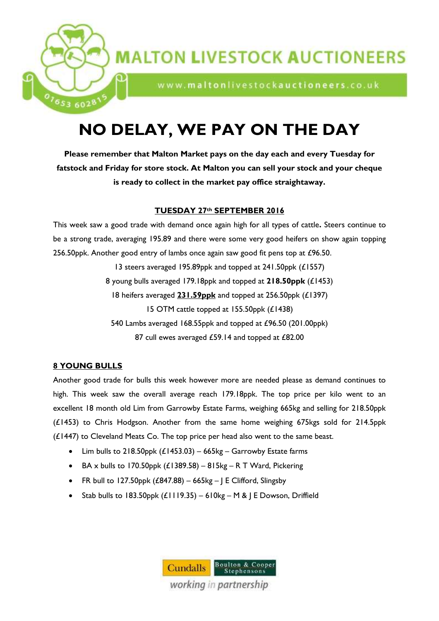

## **MALTON LIVESTOCK AUCTIONEERS**

www.maltonlivestockauctioneers.co.uk

## **NO DELAY, WE PAY ON THE DAY**

**Please remember that Malton Market pays on the day each and every Tuesday for fatstock and Friday for store stock. At Malton you can sell your stock and your cheque is ready to collect in the market pay office straightaway.** 

#### **TUESDAY 27th SEPTEMBER 2016**

This week saw a good trade with demand once again high for all types of cattle**.** Steers continue to be a strong trade, averaging 195.89 and there were some very good heifers on show again topping 256.50ppk. Another good entry of lambs once again saw good fit pens top at £96.50.

> 13 steers averaged 195.89ppk and topped at 241.50ppk (£1557) 8 young bulls averaged 179.18ppk and topped at **218.50ppk** (£1453) 18 heifers averaged **231.59ppk** and topped at 256.50ppk (£1397) 15 OTM cattle topped at 155.50ppk (£1438) 540 Lambs averaged 168.55ppk and topped at £96.50 (201.00ppk) 87 cull ewes averaged £59.14 and topped at £82.00

#### **8 YOUNG BULLS**

Another good trade for bulls this week however more are needed please as demand continues to high. This week saw the overall average reach 179.18ppk. The top price per kilo went to an excellent 18 month old Lim from Garrowby Estate Farms, weighing 665kg and selling for 218.50ppk (£1453) to Chris Hodgson. Another from the same home weighing 675kgs sold for 214.5ppk  $(E1447)$  to Cleveland Meats Co. The top price per head also went to the same beast.

- Lim bulls to  $218.50$ ppk (£1453.03) 665kg Garrowby Estate farms
- $-BA \times$  bulls to 170.50ppk (£1389.58) 815kg R T Ward, Pickering
- FR bull to 127.50ppk  $(£847.88) 665kg -$  J E Clifford, Slingsby
- Stab bulls to 183.50ppk (£1119.35) 610kg M & J E Dowson, Driffield

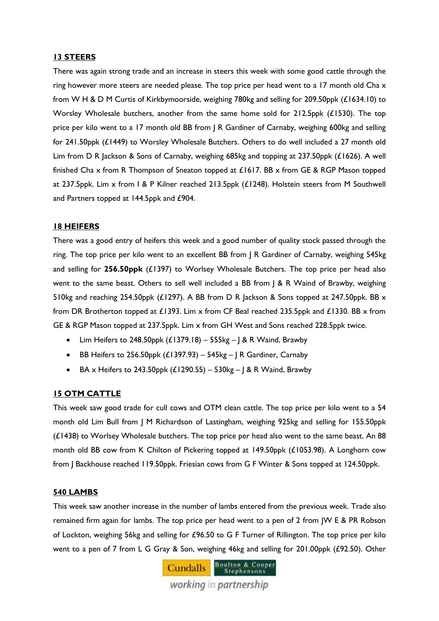#### **13 STEERS**

There was again strong trade and an increase in steers this week with some good cattle through the ring however more steers are needed please. The top price per head went to a 17 month old Cha x from W H & D M Curtis of Kirkbymoorside, weighing 780kg and selling for 209.50ppk (£1634.10) to Worsley Wholesale butchers, another from the same home sold for 212.5ppk (£1530). The top price per kilo went to a 17 month old BB from J R Gardiner of Carnaby, weighing 600kg and selling for 241.50ppk (£1449) to Worsley Wholesale Butchers. Others to do well included a 27 month old Lim from D R Jackson & Sons of Carnaby, weighing 685kg and topping at 237.50ppk (£1626). A well finished Cha x from R Thompson of Sneaton topped at £1617. BB x from GE & RGP Mason topped at 237.5ppk. Lim x from I & P Kilner reached 213.5ppk (£1248). Holstein steers from M Southwell and Partners topped at 144.5ppk and £904.

#### **18 HEIFERS**

There was a good entry of heifers this week and a good number of quality stock passed through the ring. The top price per kilo went to an excellent BB from J R Gardiner of Carnaby, weighing 545kg and selling for **256.50ppk** (£1397) to Worlsey Wholesale Butchers. The top price per head also went to the same beast. Others to sell well included a BB from J & R Waind of Brawby, weighing 510kg and reaching 254.50ppk (£1297). A BB from D R Jackson & Sons topped at 247.50ppk. BB x from DR Brotherton topped at £1393. Lim x from CF Beal reached 235.5ppk and £1330. BB x from GE & RGP Mason topped at 237.5ppk. Lim x from GH West and Sons reached 228.5ppk twice.

- Lim Heifers to 248.50ppk  $(E1379.18) 555kg 1$  & R Waind, Brawby
- **BB** Heifers to 256.50ppk  $(E1397.93) 545$ kg J R Gardiner, Carnaby
- BA x Heifers to 243.50ppk  $(E1290.55) 530$ kg J & R Waind, Brawby

#### **15 OTM CATTLE**

This week saw good trade for cull cows and OTM clean cattle. The top price per kilo went to a 54 month old Lim Bull from J M Richardson of Lastingham, weighing 925kg and selling for 155.50ppk (£1438) to Worlsey Wholesale butchers. The top price per head also went to the same beast. An 88 month old BB cow from K Chilton of Pickering topped at 149.50ppk (£1053.98). A Longhorn cow from J Backhouse reached 119.50ppk. Friesian cows from G F Winter & Sons topped at 124.50ppk.

#### **540 LAMBS**

This week saw another increase in the number of lambs entered from the previous week. Trade also remained firm again for lambs. The top price per head went to a pen of 2 from JW E & PR Robson of Lockton, weighing 56kg and selling for £96.50 to G F Turner of Rillington. The top price per kilo went to a pen of 7 from L G Gray & Son, weighing 46kg and selling for 201.00ppk (£92.50). Other

> **Cundalls** Boulton & Cooper working in partnership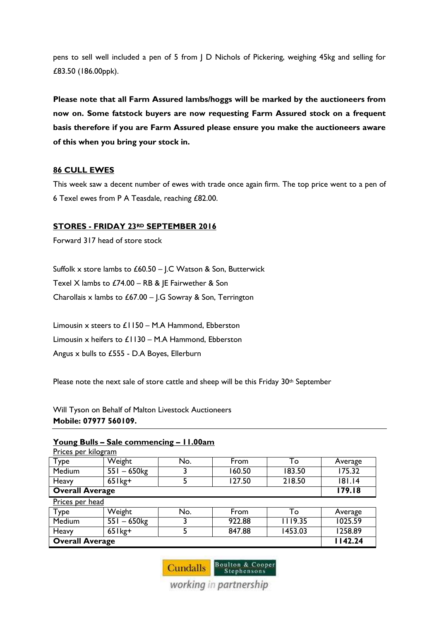pens to sell well included a pen of 5 from J D Nichols of Pickering, weighing 45kg and selling for £83.50 (186.00ppk).

**Please note that all Farm Assured lambs/hoggs will be marked by the auctioneers from now on. Some fatstock buyers are now requesting Farm Assured stock on a frequent basis therefore if you are Farm Assured please ensure you make the auctioneers aware of this when you bring your stock in.**

#### **86 CULL EWES**

This week saw a decent number of ewes with trade once again firm. The top price went to a pen of 6 Texel ewes from P A Teasdale, reaching £82.00.

#### **STORES - FRIDAY 23RD SEPTEMBER 2016**

Forward 317 head of store stock

Suffolk x store lambs to £60.50 – J.C Watson & Son, Butterwick Texel X lambs to £74.00 – RB & JE Fairwether & Son Charollais x lambs to £67.00 – J.G Sowray & Son, Terrington

Limousin x steers to  $£$  1150 – M.A Hammond, Ebberston Limousin x heifers to £1130 – M.A Hammond, Ebberston Angus x bulls to £555 - D.A Boyes, Ellerburn

Please note the next sale of store cattle and sheep will be this Friday 30<sup>th</sup> September

Will Tyson on Behalf of Malton Livestock Auctioneers **Mobile: 07977 560109.**

#### **Young Bulls – Sale commencing – 11.00am**

| Prices per kilogram    |                           |     |        |         |         |  |  |
|------------------------|---------------------------|-----|--------|---------|---------|--|--|
| Type                   | Weight                    | No. | From   | To      | Average |  |  |
| Medium                 | $\overline{551} - 650$ kg |     | 160.50 | 183.50  | 175.32  |  |  |
| Heavy                  | $65$ $kg+$                |     | 127.50 | 218.50  | 181.14  |  |  |
| <b>Overall Average</b> | 179.18                    |     |        |         |         |  |  |
| Prices per head        |                           |     |        |         |         |  |  |
| Type                   | Weight                    | No. | From   | То      | Average |  |  |
| Medium                 | $551 - 650$               |     | 922.88 | 1119.35 | 1025.59 |  |  |
| Heavy                  | $65$ kg+                  |     | 847.88 | 1453.03 | 1258.89 |  |  |
| <b>Overall Average</b> | 1142.24                   |     |        |         |         |  |  |



working in partnership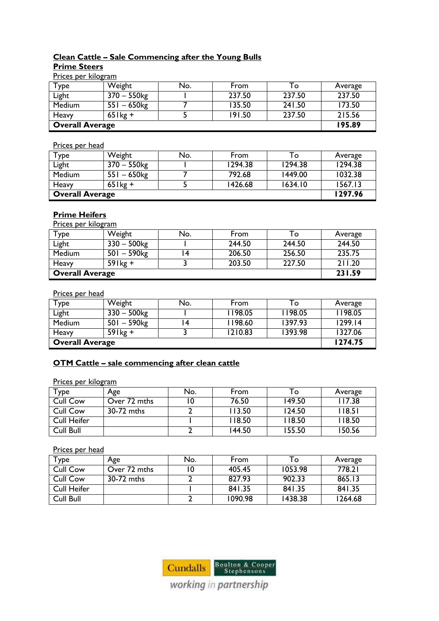#### **Clean Cattle – Sale Commencing after the Young Bulls Prime Steers**

Prices per kilogram

| Type                   | Weight         | No. | From   | ١o     | Average |
|------------------------|----------------|-----|--------|--------|---------|
| Light                  | 370 – 550kg    |     | 237.50 | 237.50 | 237.50  |
| <b>Medium</b>          | $551 - 650$ kg |     | 135.50 | 241.50 | 173.50  |
| Heavy                  | $65$ kg +      |     | 191.50 | 237.50 | 215.56  |
| <b>Overall Average</b> |                |     |        |        | 195.89  |

Prices per head

| Type                   | Weight         | No. | From    | ١o      | Average |
|------------------------|----------------|-----|---------|---------|---------|
| Light                  | 370 – 550kg    |     | 1294.38 | 1294.38 | 1294.38 |
| Medium                 | $551 - 650$ kg |     | 792.68  | 1449.00 | 1032.38 |
| Heavy                  | $65$ lkg +     |     | 1426.68 | 1634.10 | 1567.13 |
| <b>Overall Average</b> |                |     |         |         | 1297.96 |

#### **Prime Heifers**

Prices per kilogram

| Type                   | Weight            | No. | From   | Гο     | Average |
|------------------------|-------------------|-----|--------|--------|---------|
| Light                  | $330 - 500$ kg    |     | 244.50 | 244.50 | 244.50  |
| Medium                 | $501 - 590$ kg    | 4   | 206.50 | 256.50 | 235.75  |
| Heavy                  | $59$ <sup>+</sup> |     | 203.50 | 227.50 | 211.20  |
| <b>Overall Average</b> |                   |     |        |        | 231.59  |

Prices per head

| Type                   | Weight         | No. | From    | ١o      | Average |
|------------------------|----------------|-----|---------|---------|---------|
| Light                  | $330 - 500$ kg |     | 1198.05 | 1198.05 | 1198.05 |
| <b>Medium</b>          | $501 - 590$ kg |     | 1198.60 | 1397.93 | 1299.14 |
| Heavy                  | $59$ lkg +     |     | 1210.83 | 1393.98 | 1327.06 |
| <b>Overall Average</b> |                |     |         |         | 1274.75 |

#### **OTM Cattle – sale commencing after clean cattle**

Prices per kilogram

| Type            | Age          | No. | From   | To     | Average  |
|-----------------|--------------|-----|--------|--------|----------|
| <b>Cull Cow</b> | Over 72 mths | ۱0  | 76.50  | 149.50 | 117.38   |
| <b>Cull Cow</b> | 30-72 mths   |     | 113.50 | 124.50 | l 18.5 I |
| Cull Heifer     |              |     | 118.50 | 118.50 | 118.50   |
| Cull Bull       |              |     | 144.50 | 155.50 | 150.56   |

Prices per head

| Type               | Age          | No. | From    | To      | Average |
|--------------------|--------------|-----|---------|---------|---------|
| <b>Cull Cow</b>    | Over 72 mths | ۱0  | 405.45  | 1053.98 | 778.21  |
| <b>Cull Cow</b>    | 30-72 mths   |     | 827.93  | 902.33  | 865.13  |
| <b>Cull Heifer</b> |              |     | 841.35  | 841.35  | 841.35  |
| Cull Bull          |              |     | 1090.98 | 1438.38 | 1264.68 |



working in partnership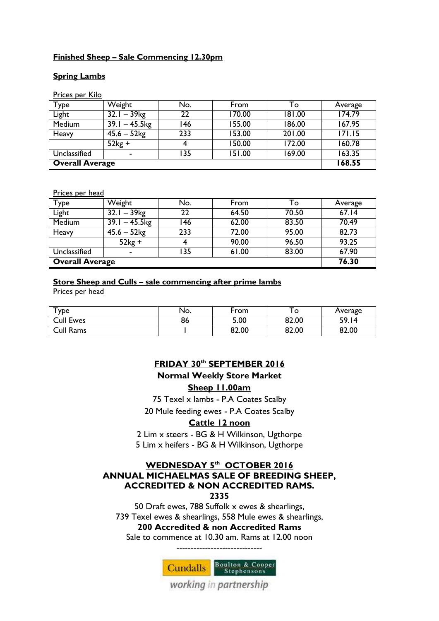#### **Finished Sheep – Sale Commencing 12.30pm**

#### **Spring Lambs**

Prices per Kilo

| Type                   | Weight                    | No.               | From   | To     | Average |
|------------------------|---------------------------|-------------------|--------|--------|---------|
| Light                  | $32.1 - 39$ <sub>kg</sub> | $22 \overline{ }$ | 170.00 | 181.00 | 174.79  |
| Medium                 | $39.1 - 45.5$ kg          | 146               | 155.00 | 186.00 | 167.95  |
| Heavy                  | $45.6 - 52$ kg            | 233               | 153.00 | 201.00 | 171.15  |
|                        | $52kg +$                  |                   | 150.00 | 172.00 | 160.78  |
| Unclassified           | $\blacksquare$            | 135               | 151.00 | 169.00 | 163.35  |
| <b>Overall Average</b> |                           |                   |        |        | 168.55  |

Prices per head

| Type                   | Weight                    | No. | From  | To    | Average |
|------------------------|---------------------------|-----|-------|-------|---------|
| Light                  | $32.1 - 39$ <sub>kg</sub> | 22  | 64.50 | 70.50 | 67.14   |
| Medium                 | $39.1 - 45.5$ kg          | 146 | 62.00 | 83.50 | 70.49   |
| Heavy                  | $45.6 - 52$ kg            | 233 | 72.00 | 95.00 | 82.73   |
|                        | $52kg +$                  |     | 90.00 | 96.50 | 93.25   |
| Unclassified           | $\blacksquare$            | 135 | 61.00 | 83.00 | 67.90   |
| <b>Overall Average</b> |                           |     |       |       | 76.30   |

#### **Store Sheep and Culls – sale commencing after prime lambs**

Prices per head

| $\tau_{\texttt{ype}}$ | No. | From  | O     | Average |
|-----------------------|-----|-------|-------|---------|
| <b>Cull Ewes</b>      | 86  | 5.00  | 82.00 | 59.14   |
| Cull Rams             |     | 82.00 | 82.00 | 82.00   |

#### **FRIDAY 30th SEPTEMBER 2016**

### **Normal Weekly Store Market**

**Sheep 11.00am**

75 Texel x lambs - P.A Coates Scalby

20 Mule feeding ewes - P.A Coates Scalby

#### **Cattle 12 noon**

2 Lim x steers - BG & H Wilkinson, Ugthorpe 5 Lim x heifers - BG & H Wilkinson, Ugthorpe

#### **WEDNESDAY 5th OCTOBER 2016 ANNUAL MICHAELMAS SALE OF BREEDING SHEEP, ACCREDITED & NON ACCREDITED RAMS.**

**2335**

50 Draft ewes, 788 Suffolk x ewes & shearlings, 739 Texel ewes & shearlings, 558 Mule ewes & shearlings, **200 Accredited & non Accredited Rams** Sale to commence at 10.30 am. Rams at 12.00 noon



working in partnership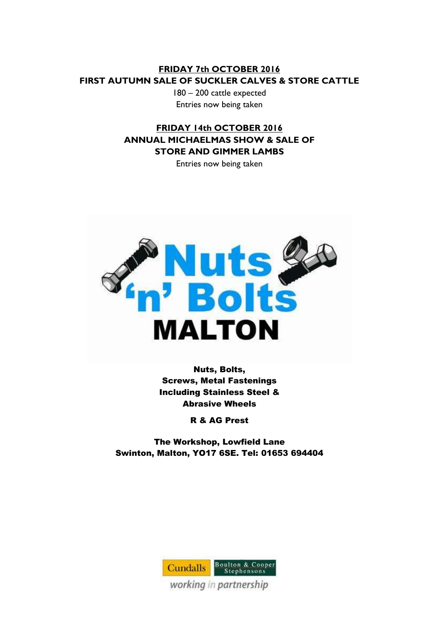#### **FRIDAY 7th OCTOBER 2016 FIRST AUTUMN SALE OF SUCKLER CALVES & STORE CATTLE**

180 – 200 cattle expected Entries now being taken

#### **FRIDAY 14th OCTOBER 2016 ANNUAL MICHAELMAS SHOW & SALE OF STORE AND GIMMER LAMBS**

Entries now being taken



Nuts, Bolts, Screws, Metal Fastenings Including Stainless Steel & Abrasive Wheels

R & AG Prest

The Workshop, Lowfield Lane Swinton, Malton, YO17 6SE. Tel: 01653 694404

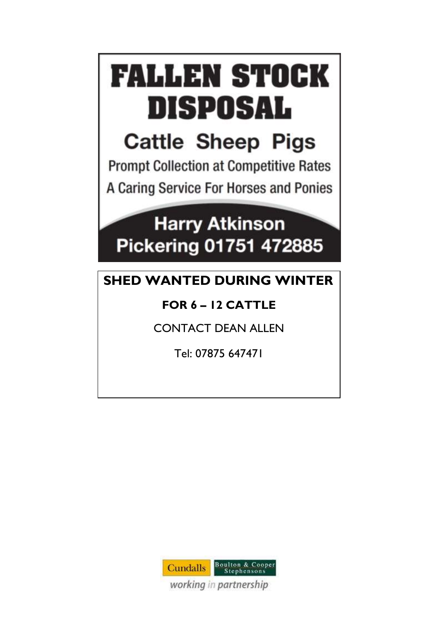# **FALLEN STOCK** DISPOSAL

## **Cattle Sheep Pigs**

**Prompt Collection at Competitive Rates** A Caring Service For Horses and Ponies

## **Harry Atkinson** Pickering 01751 472885

## **SHED WANTED DURING WINTER**

### **FOR 6 – 12 CATTLE**

CONTACT DEAN ALLEN

Tel: 07875 647471